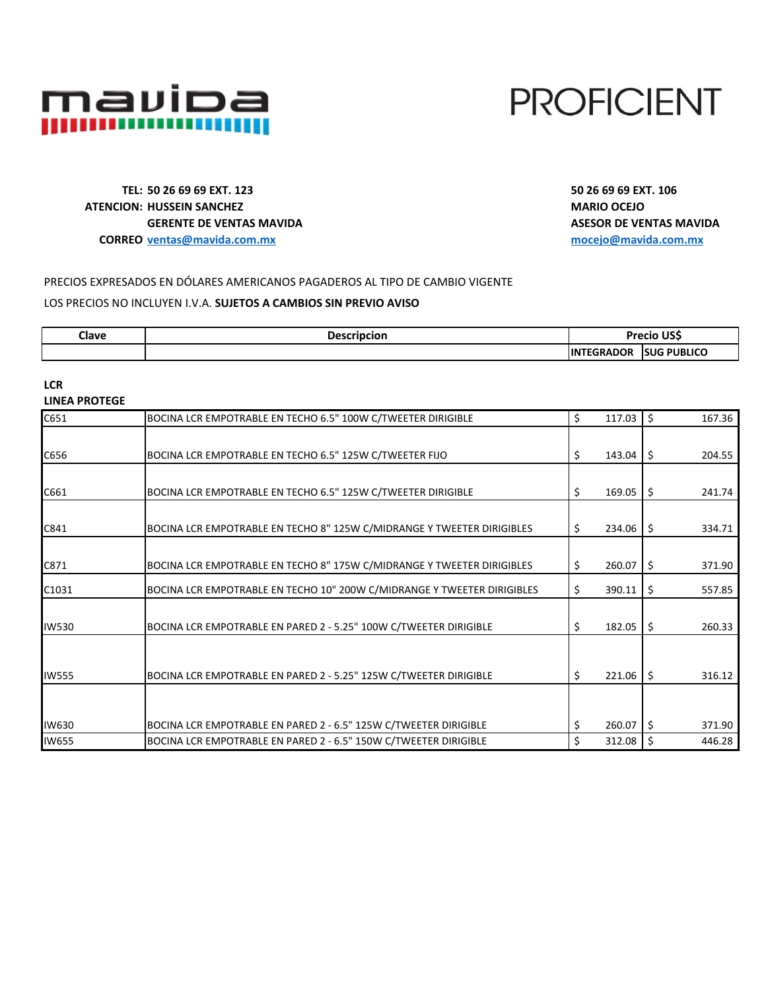

# **PROFICIENT**

**TEL: 50 26 69 69 EXT. 123 50 26 69 69 EXT. 106 ATENCION: HUSSEIN SANCHEZ ATENCIÓN: MARIO OCEJO GERENTE DE VENTAS MAVIDA ASESOR DE VENTAS MAVIDA CORREO [ventas@mavida.com.mx](mailto:ventas@mavida.com.mx) [mocejo@mavida.com.mx](mailto:mocejo@mavida.com.mx)**

# PRECIOS EXPRESADOS EN DÓLARES AMERICANOS PAGADEROS AL TIPO DE CAMBIO VIGENTE LOS PRECIOS NO INCLUYEN I.V.A. **SUJETOS A CAMBIOS SIN PREVIO AVISO**

| Clave | escripcion |                              | 1100<br>1.142212    |
|-------|------------|------------------------------|---------------------|
|       |            | 11N <sup>T</sup><br>nR<br>ıн | <b>ISUG PUBLICO</b> |

**LCR LINEA PROTEGE**

| C651         | BOCINA LCR EMPOTRABLE EN TECHO 6.5" 100W C/TWEETER DIRIGIBLE            | \$<br>117.03 | $\zeta$ | 167.36 |
|--------------|-------------------------------------------------------------------------|--------------|---------|--------|
|              |                                                                         |              |         |        |
| C656         | BOCINA LCR EMPOTRABLE EN TECHO 6.5" 125W C/TWEETER FIJO                 | \$<br>143.04 | \$      | 204.55 |
|              |                                                                         |              |         |        |
| C661         | BOCINA LCR EMPOTRABLE EN TECHO 6.5" 125W C/TWEETER DIRIGIBLE            | \$<br>169.05 | \$      | 241.74 |
|              |                                                                         |              |         |        |
| C841         | BOCINA LCR EMPOTRABLE EN TECHO 8" 125W C/MIDRANGE Y TWEETER DIRIGIBLES  | \$<br>234.06 | \$      | 334.71 |
|              |                                                                         |              |         |        |
| C871         | BOCINA LCR EMPOTRABLE EN TECHO 8" 175W C/MIDRANGE Y TWEETER DIRIGIBLES  | \$<br>260.07 | \$      | 371.90 |
| C1031        | BOCINA LCR EMPOTRABLE EN TECHO 10" 200W C/MIDRANGE Y TWEETER DIRIGIBLES | \$<br>390.11 | \$      | 557.85 |
|              |                                                                         |              |         |        |
| <b>IW530</b> | BOCINA LCR EMPOTRABLE EN PARED 2 - 5.25" 100W C/TWEETER DIRIGIBLE       | \$<br>182.05 | \$      | 260.33 |
|              |                                                                         |              |         |        |
| <b>IW555</b> | BOCINA LCR EMPOTRABLE EN PARED 2 - 5.25" 125W C/TWEETER DIRIGIBLE       | \$<br>221.06 | \$      | 316.12 |
|              |                                                                         |              |         |        |
|              |                                                                         |              |         |        |
| IW630        | BOCINA LCR EMPOTRABLE EN PARED 2 - 6.5" 125W C/TWEETER DIRIGIBLE        | \$<br>260.07 | Ŝ.      | 371.90 |
| <b>IW655</b> | BOCINA LCR EMPOTRABLE EN PARED 2 - 6.5" 150W C/TWEETER DIRIGIBLE        | \$<br>312.08 | \$      | 446.28 |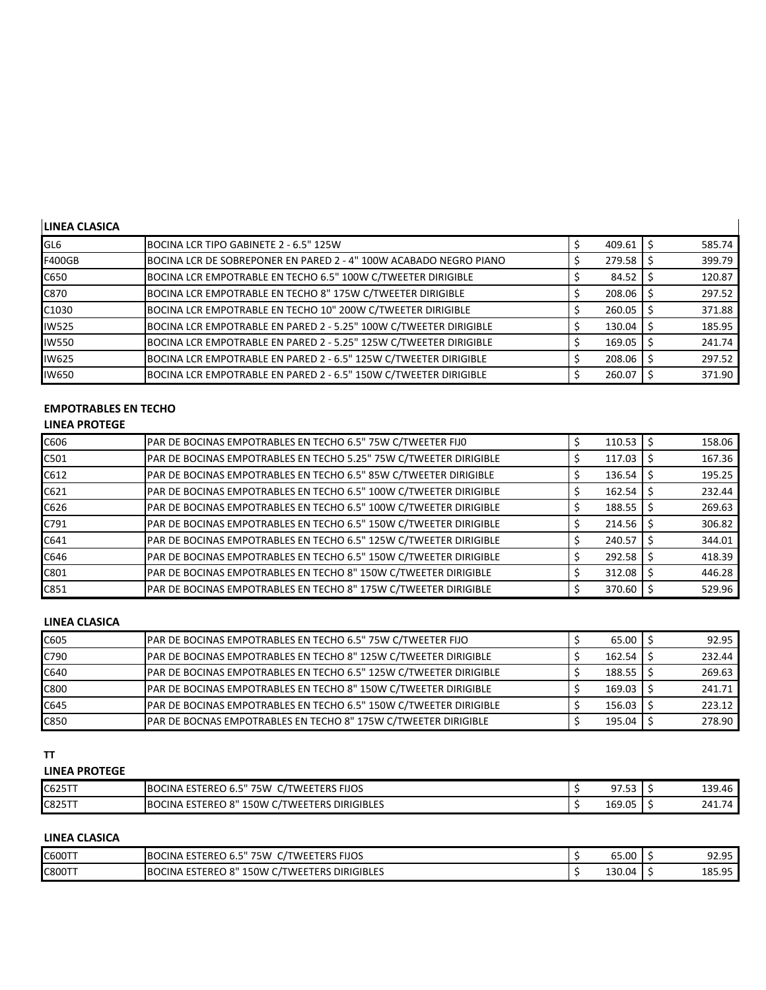# **LINEA CLASICA**

| BOCINA LCR TIPO GABINETE 2 - 6.5" 125W                            | 409.61 | 585.74 |
|-------------------------------------------------------------------|--------|--------|
| BOCINA LCR DE SOBREPONER EN PARED 2 - 4" 100W ACABADO NEGRO PIANO | 279.58 | 399.79 |
| BOCINA LCR EMPOTRABLE EN TECHO 6.5" 100W C/TWEETER DIRIGIBLE      | 84.52  | 120.87 |
| BOCINA LCR EMPOTRABLE EN TECHO 8" 175W C/TWEETER DIRIGIBLE        | 208.06 | 297.52 |
| BOCINA LCR EMPOTRABLE EN TECHO 10" 200W C/TWEETER DIRIGIBLE       | 260.05 | 371.88 |
| BOCINA LCR EMPOTRABLE EN PARED 2 - 5.25" 100W C/TWEETER DIRIGIBLE | 130.04 | 185.95 |
| BOCINA LCR EMPOTRABLE EN PARED 2 - 5.25" 125W C/TWEETER DIRIGIBLE | 169.05 | 241.74 |
| BOCINA LCR EMPOTRABLE EN PARED 2 - 6.5" 125W C/TWEETER DIRIGIBLE  |        | 297.52 |
| BOCINA LCR EMPOTRABLE EN PARED 2 - 6.5" 150W C/TWEETER DIRIGIBLE  | 260.07 | 371.90 |
|                                                                   |        | 208.06 |

 $\overline{\mathbf{I}}$ 

# **EMPOTRABLES EN TECHO**

# **LINEA PROTEGE**

| C606 | PAR DE BOCINAS EMPOTRABLES EN TECHO 6.5" 75W C/TWEETER FIJO       | 110.53 | 158.06 |
|------|-------------------------------------------------------------------|--------|--------|
| C501 | PAR DE BOCINAS EMPOTRABLES EN TECHO 5.25" 75W C/TWEETER DIRIGIBLE | 117.03 | 167.36 |
| C612 | PAR DE BOCINAS EMPOTRABLES EN TECHO 6.5" 85W C/TWEETER DIRIGIBLE  | 136.54 | 195.25 |
| C621 | PAR DE BOCINAS EMPOTRABLES EN TECHO 6.5" 100W C/TWEETER DIRIGIBLE | 162.54 | 232.44 |
| C626 | PAR DE BOCINAS EMPOTRABLES EN TECHO 6.5" 100W C/TWEETER DIRIGIBLE | 188.55 | 269.63 |
| C791 | PAR DE BOCINAS EMPOTRABLES EN TECHO 6.5" 150W C/TWEETER DIRIGIBLE | 214.56 | 306.82 |
| C641 | PAR DE BOCINAS EMPOTRABLES EN TECHO 6.5" 125W C/TWEETER DIRIGIBLE | 240.57 | 344.01 |
| C646 | PAR DE BOCINAS EMPOTRABLES EN TECHO 6.5" 150W C/TWEETER DIRIGIBLE | 292.58 | 418.39 |
| C801 | PAR DE BOCINAS EMPOTRABLES EN TECHO 8" 150W C/TWEETER DIRIGIBLE   | 312.08 | 446.28 |
| C851 | PAR DE BOCINAS EMPOTRABLES EN TECHO 8" 175W C/TWEETER DIRIGIBLE   | 370.60 | 529.96 |

# **LINEA CLASICA**

| C605 | PAR DE BOCINAS EMPOTRABLES EN TECHO 6.5" 75W C/TWEETER FIJO           | 65.00  | 92.95  |
|------|-----------------------------------------------------------------------|--------|--------|
| C790 | PAR DE BOCINAS EMPOTRABLES EN TECHO 8" 125W C/TWEETER DIRIGIBLE       | 162.54 | 232.44 |
| C640 | PAR DE BOCINAS EMPOTRABLES EN TECHO 6.5" 125W C/TWEETER DIRIGIBLE     | 188.55 | 269.63 |
| C800 | PAR DE BOCINAS EMPOTRABLES EN TECHO 8" 150W C/TWEETER DIRIGIBLE       | 169.03 | 241.71 |
| C645 | PAR DE BOCINAS EMPOTRABLES EN TECHO 6.5" 150W C/TWEETER DIRIGIBLE     | 156.03 | 223.12 |
| C850 | <b>PAR DE BOCNAS EMPOTRABLES EN TECHO 8" 175W C/TWEETER DIRIGIBLE</b> | 195.04 | 278.90 |

#### **TT**

# **LINEA PROTEGE**

| C625TT | <b>TWEETERS FIJOS</b><br>BOCINA ESTEREO 6.5<br>75W<br>ີ                           | 97<br>JI.JJ | 139.46 |
|--------|-----------------------------------------------------------------------------------|-------------|--------|
| C825TT | ייא,<br>. ESTEREO<br>150W<br><b>DIRIGIBLES</b><br>'TWEETERS<br><b>BOCINA</b><br>ີ | 169.05      | 241.74 |

# **LINEA CLASICA**

| C600TT        | BOCINA ESTEREO 6.5"<br>' 75W<br><b>C/TWEETERS FIJOS</b>  | 65.00  | 92.95  |
|---------------|----------------------------------------------------------|--------|--------|
| <b>C800TT</b> | <b>BOCINA ESTEREO 8"</b><br>' 150W C/TWEETERS DIRIGIBLES | 130.04 | 185.95 |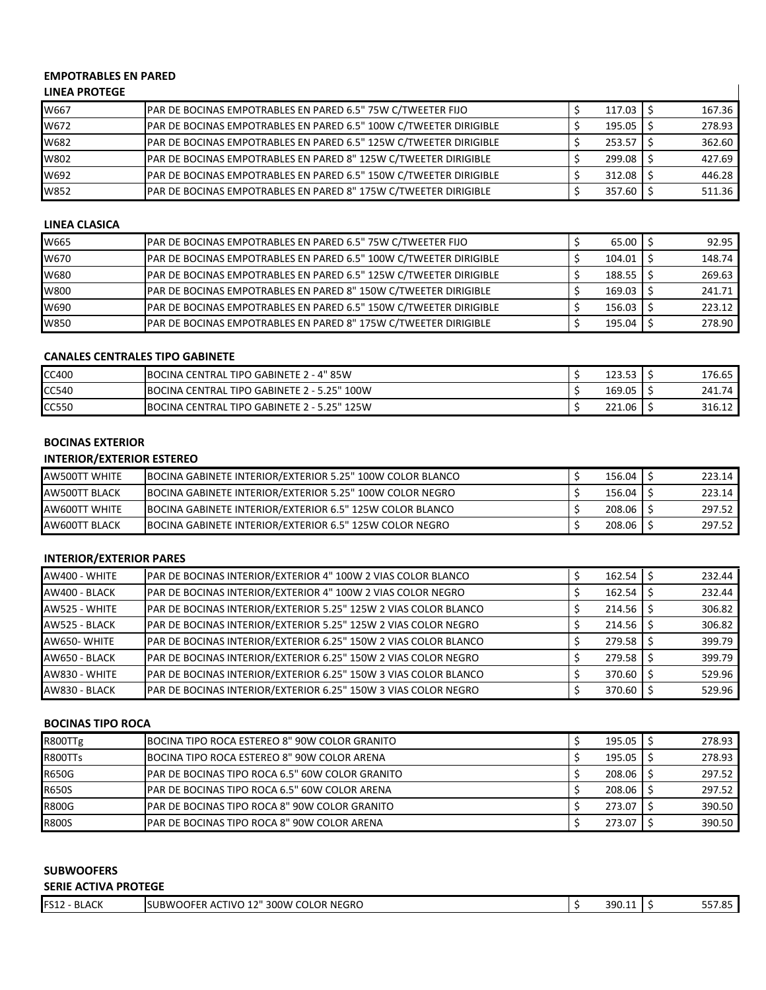## **EMPOTRABLES EN PARED**

# **LINEA PROTEGE**

| -------------- |                                                                   |        |        |
|----------------|-------------------------------------------------------------------|--------|--------|
| W667           | PAR DE BOCINAS EMPOTRABLES EN PARED 6.5" 75W C/TWEETER FIJO       | 117.03 | 167.36 |
| W672           | PAR DE BOCINAS EMPOTRABLES EN PARED 6.5" 100W C/TWEETER DIRIGIBLE | 195.05 | 278.93 |
| W682           | PAR DE BOCINAS EMPOTRABLES EN PARED 6.5" 125W C/TWEETER DIRIGIBLE | 253.57 | 362.60 |
| W802           | PAR DE BOCINAS EMPOTRABLES EN PARED 8" 125W C/TWEETER DIRIGIBLE   | 299.08 | 427.69 |
| W692           | PAR DE BOCINAS EMPOTRABLES EN PARED 6.5" 150W C/TWEETER DIRIGIBLE | 312.08 | 446.28 |
| W852           | PAR DE BOCINAS EMPOTRABLES EN PARED 8" 175W C/TWEETER DIRIGIBLE   | 357.60 | 511.36 |

 $\mathbf{I}$ 

#### **LINEA CLASICA**

| W665 | PAR DE BOCINAS EMPOTRABLES EN PARED 6.5" 75W C/TWEETER FIJO              | 65.00  | 92.95  |
|------|--------------------------------------------------------------------------|--------|--------|
| W670 | PAR DE BOCINAS EMPOTRABLES EN PARED 6.5" 100W C/TWEETER DIRIGIBLE        | 104.01 | 148.74 |
| W680 | <b>PAR DE BOCINAS EMPOTRABLES EN PARED 6.5" 125W C/TWEETER DIRIGIBLE</b> | 188.55 | 269.63 |
| W800 | PAR DE BOCINAS EMPOTRABLES EN PARED 8" 150W C/TWEETER DIRIGIBLE          | 169.03 | 241.71 |
| W690 | PAR DE BOCINAS EMPOTRABLES EN PARED 6.5" 150W C/TWEETER DIRIGIBLE        | 156.03 | 223.12 |
| W850 | PAR DE BOCINAS EMPOTRABLES EN PARED 8" 175W C/TWEETER DIRIGIBLE          | 195.04 | 278.90 |

#### **CANALES CENTRALES TIPO GABINETE**

| <b>CC400</b> | BOCINA CENTRAL TIPO GABINETE 2 - 4" 85W             | 123.53 | 176.65 |
|--------------|-----------------------------------------------------|--------|--------|
| CC540        | BOCINA CENTRAL TIPO GABINETE 2 - 5.25" 100W         | 169.05 | 241.74 |
| <b>CC550</b> | <b>IBOCINA CENTRAL TIPO GABINETE 2 - 5.25" 125W</b> | 221.06 | 316.12 |

## **BOCINAS EXTERIOR**

## **INTERIOR/EXTERIOR ESTEREO**

| <b>AW500TT WHITE</b> | <b>IBOCINA GABINETE INTERIOR/EXTERIOR 5.25" 100W COLOR BLANCO</b> | 156.04 | 223.14 |
|----------------------|-------------------------------------------------------------------|--------|--------|
| AW500TT BLACK        | BOCINA GABINETE INTERIOR/EXTERIOR 5.25" 100W COLOR NEGRO          | 156.04 | 223.14 |
| <b>AW600TT WHITE</b> | <b>IBOCINA GABINETE INTERIOR/EXTERIOR 6.5" 125W COLOR BLANCO</b>  | 208.06 | 297.52 |
| AW600TT BLACK        | <b>IBOCINA GABINETE INTERIOR/EXTERIOR 6.5" 125W COLOR NEGRO</b>   | 208.06 | 297.52 |

# **INTERIOR/EXTERIOR PARES**

| AW400 - WHITE | PAR DE BOCINAS INTERIOR/EXTERIOR 4" 100W 2 VIAS COLOR BLANCO    | 162.54 | 232.44 |
|---------------|-----------------------------------------------------------------|--------|--------|
| AW400 - BLACK | PAR DE BOCINAS INTERIOR/EXTERIOR 4" 100W 2 VIAS COLOR NEGRO     | 162.54 | 232.44 |
| AW525 - WHITE | PAR DE BOCINAS INTERIOR/EXTERIOR 5.25" 125W 2 VIAS COLOR BLANCO | 214.56 | 306.82 |
| AW525 - BLACK | PAR DE BOCINAS INTERIOR/EXTERIOR 5.25" 125W 2 VIAS COLOR NEGRO  | 214.56 | 306.82 |
| AW650-WHITE   | PAR DE BOCINAS INTERIOR/EXTERIOR 6.25" 150W 2 VIAS COLOR BLANCO | 279.58 | 399.79 |
| AW650 - BLACK | PAR DE BOCINAS INTERIOR/EXTERIOR 6.25" 150W 2 VIAS COLOR NEGRO  | 279.58 | 399.79 |
| AW830 - WHITE | PAR DE BOCINAS INTERIOR/EXTERIOR 6.25" 150W 3 VIAS COLOR BLANCO | 370.60 | 529.96 |
| AW830 - BLACK | PAR DE BOCINAS INTERIOR/EXTERIOR 6.25" 150W 3 VIAS COLOR NEGRO  | 370.60 | 529.96 |

# **BOCINAS TIPO ROCA**

| R800TTg      | BOCINA TIPO ROCA ESTEREO 8" 90W COLOR GRANITO           | 195.05 | 278.93 |
|--------------|---------------------------------------------------------|--------|--------|
| R800TTs      | BOCINA TIPO ROCA ESTEREO 8" 90W COLOR ARENA             | 195.05 | 278.93 |
| <b>R650G</b> | <b>IPAR DE BOCINAS TIPO ROCA 6.5" 60W COLOR GRANITO</b> | 208.06 | 297.52 |
| <b>R650S</b> | <b>IPAR DE BOCINAS TIPO ROCA 6.5" 60W COLOR ARENA</b>   | 208.06 | 297.52 |
| <b>R800G</b> | <b>IPAR DE BOCINAS TIPO ROCA 8" 90W COLOR GRANITO</b>   | 273.07 | 390.50 |
| <b>R800S</b> | <b>PAR DE BOCINAS TIPO ROCA 8" 90W COLOR ARENA</b>      | 273.07 | 390.50 |

#### **SUBWOOFERS SERIE ACTIVA PROTEGE**

| <b>IFS12</b><br><b>BLACK</b> | 1 7 II<br>'300W COLOR NEGRO<br>TIVO<br><b>OOFER</b><br>SUBWC<br>ER AC | 390.1 | <br>$- - - - -$<br>557.OJ |
|------------------------------|-----------------------------------------------------------------------|-------|---------------------------|
|                              |                                                                       |       | .                         |